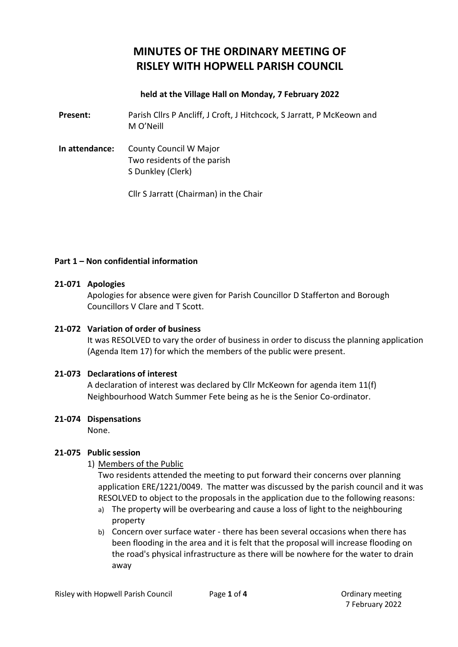# **MINUTES OF THE ORDINARY MEETING OF RISLEY WITH HOPWELL PARISH COUNCIL**

## **held at the Village Hall on Monday, 7 February 2022**

**Present:** Parish Cllrs P Ancliff, J Croft, J Hitchcock, S Jarratt, P McKeown and M O'Neill

**In attendance:** County Council W Major Two residents of the parish S Dunkley (Clerk)

Cllr S Jarratt (Chairman) in the Chair

#### **Part 1 – Non confidential information**

### **21-071 Apologies**

Apologies for absence were given for Parish Councillor D Stafferton and Borough Councillors V Clare and T Scott.

#### **21-072 Variation of order of business**

It was RESOLVED to vary the order of business in order to discuss the planning application (Agenda Item 17) for which the members of the public were present.

# **21-073 Declarations of interest**

A declaration of interest was declared by Cllr McKeown for agenda item 11(f) Neighbourhood Watch Summer Fete being as he is the Senior Co-ordinator.

#### **21-074 Dispensations**

None.

# **21-075 Public session**

1) Members of the Public

Two residents attended the meeting to put forward their concerns over planning application ERE/1221/0049. The matter was discussed by the parish council and it was RESOLVED to object to the proposals in the application due to the following reasons:

- a) The property will be overbearing and cause a loss of light to the neighbouring property
- b) Concern over surface water there has been several occasions when there has been flooding in the area and it is felt that the proposal will increase flooding on the road's physical infrastructure as there will be nowhere for the water to drain away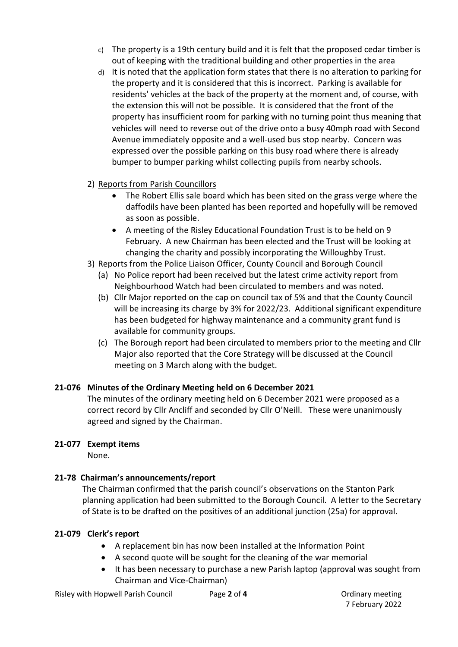- c) The property is a 19th century build and it is felt that the proposed cedar timber is out of keeping with the traditional building and other properties in the area
- d) It is noted that the application form states that there is no alteration to parking for the property and it is considered that this is incorrect. Parking is available for residents' vehicles at the back of the property at the moment and, of course, with the extension this will not be possible. It is considered that the front of the property has insufficient room for parking with no turning point thus meaning that vehicles will need to reverse out of the drive onto a busy 40mph road with Second Avenue immediately opposite and a well-used bus stop nearby. Concern was expressed over the possible parking on this busy road where there is already bumper to bumper parking whilst collecting pupils from nearby schools.
- 2) Reports from Parish Councillors
	- The Robert Ellis sale board which has been sited on the grass verge where the daffodils have been planted has been reported and hopefully will be removed as soon as possible.
	- A meeting of the Risley Educational Foundation Trust is to be held on 9 February. A new Chairman has been elected and the Trust will be looking at changing the charity and possibly incorporating the Willoughby Trust.
- 3) Reports from the Police Liaison Officer, County Council and Borough Council
	- (a) No Police report had been received but the latest crime activity report from Neighbourhood Watch had been circulated to members and was noted.
	- (b) Cllr Major reported on the cap on council tax of 5% and that the County Council will be increasing its charge by 3% for 2022/23. Additional significant expenditure has been budgeted for highway maintenance and a community grant fund is available for community groups.
	- (c) The Borough report had been circulated to members prior to the meeting and Cllr Major also reported that the Core Strategy will be discussed at the Council meeting on 3 March along with the budget.

# **21-076 Minutes of the Ordinary Meeting held on 6 December 2021**

The minutes of the ordinary meeting held on 6 December 2021 were proposed as a correct record by Cllr Ancliff and seconded by Cllr O'Neill. These were unanimously agreed and signed by the Chairman.

# **21-077 Exempt items**

None.

# **21-78 Chairman's announcements/report**

The Chairman confirmed that the parish council's observations on the Stanton Park planning application had been submitted to the Borough Council. A letter to the Secretary of State is to be drafted on the positives of an additional junction (25a) for approval.

# **21-079 Clerk's report**

- A replacement bin has now been installed at the Information Point
- A second quote will be sought for the cleaning of the war memorial
- It has been necessary to purchase a new Parish laptop (approval was sought from Chairman and Vice-Chairman)

7 February 2022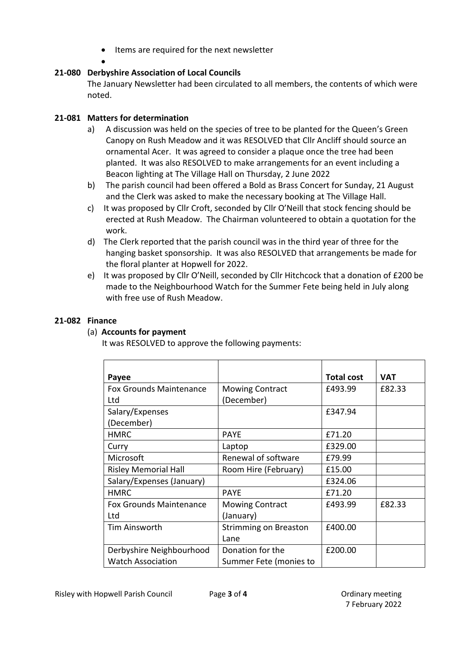- Items are required for the next newsletter
- •

# **21-080 Derbyshire Association of Local Councils**

The January Newsletter had been circulated to all members, the contents of which were noted.

# **21-081 Matters for determination**

- a) A discussion was held on the species of tree to be planted for the Queen's Green Canopy on Rush Meadow and it was RESOLVED that Cllr Ancliff should source an ornamental Acer. It was agreed to consider a plaque once the tree had been planted. It was also RESOLVED to make arrangements for an event including a Beacon lighting at The Village Hall on Thursday, 2 June 2022
- b) The parish council had been offered a Bold as Brass Concert for Sunday, 21 August and the Clerk was asked to make the necessary booking at The Village Hall.
- c) It was proposed by Cllr Croft, seconded by Cllr O'Neill that stock fencing should be erected at Rush Meadow. The Chairman volunteered to obtain a quotation for the work.
- d) The Clerk reported that the parish council was in the third year of three for the hanging basket sponsorship. It was also RESOLVED that arrangements be made for the floral planter at Hopwell for 2022.
- e) It was proposed by Cllr O'Neill, seconded by Cllr Hitchcock that a donation of £200 be made to the Neighbourhood Watch for the Summer Fete being held in July along with free use of Rush Meadow.

### **21-082 Finance**

#### (a) **Accounts for payment**

It was RESOLVED to approve the following payments:

| Payee                          |                              | <b>Total cost</b> | <b>VAT</b> |
|--------------------------------|------------------------------|-------------------|------------|
| <b>Fox Grounds Maintenance</b> | <b>Mowing Contract</b>       | £493.99           | £82.33     |
| Ltd                            | (December)                   |                   |            |
| Salary/Expenses                |                              | £347.94           |            |
| (December)                     |                              |                   |            |
| <b>HMRC</b>                    | <b>PAYE</b>                  | £71.20            |            |
| Curry                          | Laptop                       | £329.00           |            |
| Microsoft                      | Renewal of software          | £79.99            |            |
| <b>Risley Memorial Hall</b>    | Room Hire (February)         | £15.00            |            |
| Salary/Expenses (January)      |                              | £324.06           |            |
| <b>HMRC</b>                    | <b>PAYE</b>                  | £71.20            |            |
| <b>Fox Grounds Maintenance</b> | <b>Mowing Contract</b>       | £493.99           | £82.33     |
| Ltd                            | (January)                    |                   |            |
| Tim Ainsworth                  | <b>Strimming on Breaston</b> | £400.00           |            |
|                                | Lane                         |                   |            |
| Derbyshire Neighbourhood       | Donation for the             | £200.00           |            |
| <b>Watch Association</b>       | Summer Fete (monies to       |                   |            |